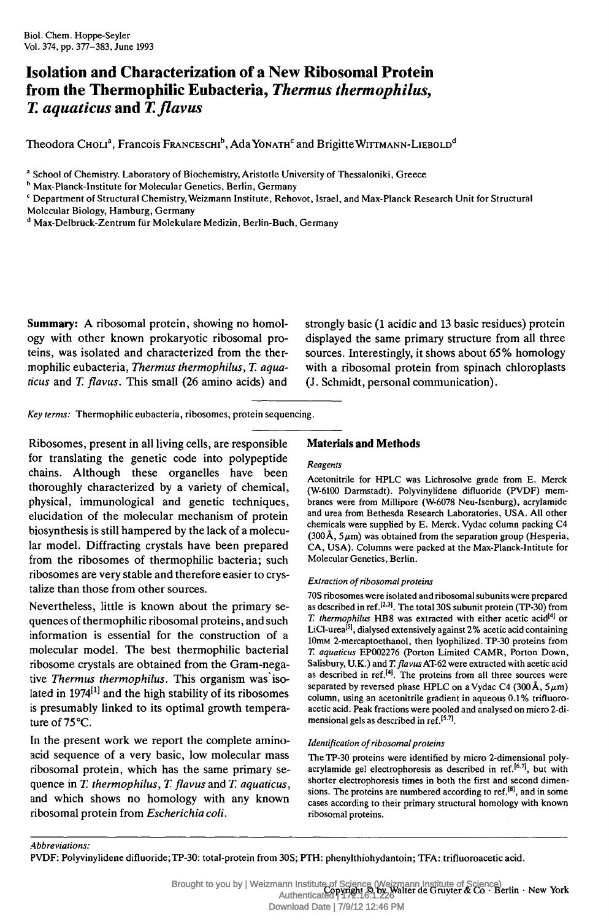Biol. Chem. Hoppe-Seyler Vol. 374, pp. 377-383, June 1993

# **Isolation and Characterization of a New Ribosomal Protein from the Thermophilic Eubacteria,** *Thermus thermophilus, T. aquaticus* **and** *T.flavus*

Theodora Choli<sup>a</sup>, Francois Franceschi<sup>b</sup>, Ada Yonath<sup>c</sup> and Brigitte Wittmann-Liebold<sup>d</sup>

<sup>a</sup> School of Chemistry, Laboratory of Biochemistry, Aristotle University of Thessaloniki, Greece

<sup>b</sup> Max-Planck-Institute for Molecular Genetics, Berlin, Germany

 $\rm ^c$  Department of Structural Chemistry, Weizmann Institute, Rehovot, Israel, and Max-Planck Research Unit for Structural

Molecular Biology, Hamburg, Germany

<sup>d</sup> Max-Delbrück-Zentrum für Molekulare Medizin, Berlin-Buch, Germany

**Summary:** A ribosomal protein, showing no homology with other known prokaryotic ribosomal proteins, was isolated and characterized from the thermophilic eubacteria, *Thermus thermophilus, T. aquaticus* and *T. flavus.* This small (26 amino acids) and

strongly basic (1 acidic and 13 basic residues) protein displayed the same primary structure from all three sources. Interestingly, it shows about 65% homology with a ribosomal protein from spinach chloroplasts (J. Schmidt, personal communication).

*Key terms:* Thermophilic eubacteria, ribosomes, protein sequencing.

Ribosomes, present in all living cells, are responsible for translating the genetic code into polypeptide chains. Although these organelles have been thoroughly characterized by a variety of chemical, physical, immunological and genetic techniques, elucidation of the molecular mechanism of protein biosynthesis is still hampered by the lack of a molecular model. Diffracting crystals have been prepared from the ribosomes of thermophilic bacteria; such ribosomes are very stable and therefore easier to crystalize than those from other sources.

Nevertheless, little is known about the primary sequences of thermophilic ribosomal proteins, and such information is essential for the construction of a molecular model. The best thermophilic bacterial ribosome crystals are obtained from the Gram-negative *Thermus thermophilus.* This organism was isolated in 1974<sup>[1]</sup> and the high stability of its ribosomes is presumably linked to its optimal growth temperature of 75°C.

In the present work we report the complete aminoacid sequence of a very basic, low molecular mass ribosomal protein, which has the same primary sequence in *T. thermophilus, T. flavus* and *T. aquaticus,* and which shows no homology with any known ribosomal protein from *Escherichia coli.*

# **Materials and Methods**

## *Reagents*

Acetonitrile for HPLC was Lichrosolve grade from E. Merck (W-6100 Darmstadt). Polyvinylidene difluoride (PVDF) membranes were from Millipore (W-6078 Neu-Isenburg), acrylamide and urea from Bethesda Research Laboratories, USA. All other chemicals were supplied by E. Merck. Vydac column packing C4  $(300 \text{\AA}, 5 \mu \text{m})$  was obtained from the separation group (Hesperia, CA, USA). Columns were packed at the Max-Planck-Intitute for Molecular Genetics, Berlin.

## *Extraction of ribosomal proteins*

70S ribosomes were isolated and ribosomal subunits were prepared as described in ref.<sup>[2,3]</sup>. The total 30S subunit protein (TP-30) from T. thermophilus HB8 was extracted with either acetic acid<sup>[4]</sup> or LiCl-urea<sup>[5]</sup>, dialysed extensively against 2% acetic acid containing lOmM 2-mercaptoethanol, then lyophilized. TP-30 proteins from *T. aquaticus* EP002276 (Porton Limited CAMR, Porton Down, Salisbury, U.K.) and *T. flavus* AT-62 were extracted with acetic acid as described in ref.<sup>[4]</sup>. The proteins from all three sources were separated by reversed phase HPLC on a Vydac C4 (300 Å,  $5\mu$ m) column, using an acetonitrile gradient in aqueous 0.1% trifluoroacetic acid. Peak fractions were pooled and analysed on micro 2-dimensional gels as described in ref.<sup>[5.7]</sup>.

## *Identification of ribosomal proteins*

The TP-30 proteins were identified by micro 2-dimensional polyacrylamide gel electrophoresis as described in ref.<sup>[6.7]</sup>, but with shorter electrophoresis times in both the first and second dimensions. The proteins are numbered according to ref. $^{[8]}$ , and in some cases according to their primary structural homology with known ribosomal proteins.

*Abbreviations:*

Brought to you by | Weizmann Institute of Science (Weizmann Institute of Science)<br>Authorized Drivinght © by Walter de Gruyter & Co · Berlin · New York Authenticated | 172.16.1.226 Download Date | 7/9/12 12:46 PM

PVDF: Polyvinylidene difluoride;TP-30: total-protein from 30S; PTH: phenylthiohydantoin; TEA: trifluoroacetic acid.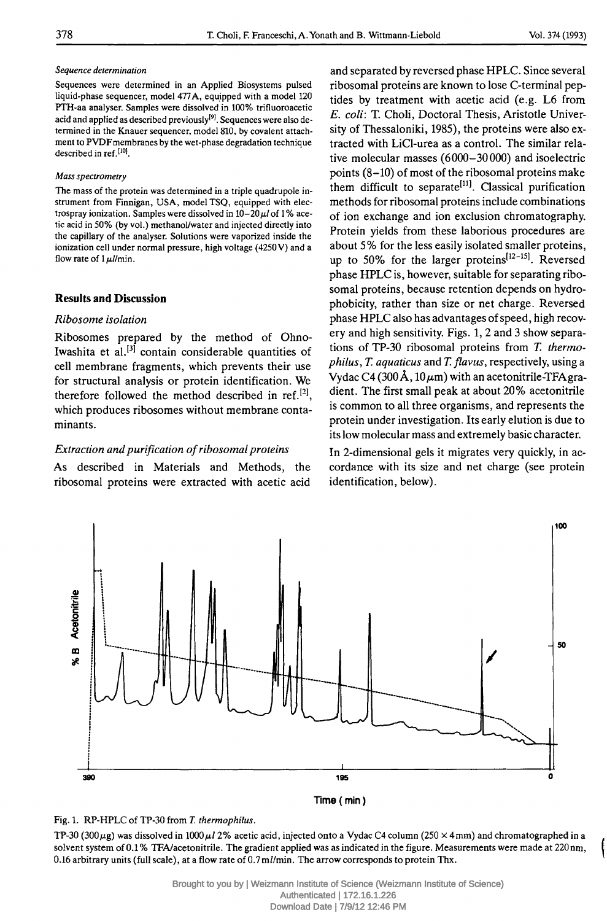#### *Sequence determination*

Sequences were determined in an Applied Biosystems pulsed liquid-phase sequencer, model 477A, equipped with a model 120 PTH-aa analyser. Samples were dissolved in 100% trifluoroacetic acid and applied as described previously<sup>[9]</sup>. Sequences were also determined in the Knauer sequencer, model 810, by covalent attachment to PVDF membranes by the wet-phase degradation technique described in ref.<sup>[10]</sup>.

#### *Mass spectrometry*

The mass of the protein was determined in a triple quadrupole instrument from Finnigan, USA, model TSQ, equipped with electrospray ionization. Samples were dissolved in 10-20*μΐ* of 1 % acetic acid in 50% (by vol.) methanol/water and injected directly into the capillary of the analyser. Solutions were vaporized inside the ionization cell under normal pressure, high voltage (4250V) and a flow rate of *Ιμΐ/m'm.*

## **Results and Discussion**

#### *Ribosome isolation*

Ribosomes prepared by the method of Ohno-Iwashita et al.<sup>[3]</sup> contain considerable quantities of cell membrane fragments, which prevents their use for structural analysis or protein identification. We therefore followed the method described in ref. $^{[2]}$ , which produces ribosomes without membrane contaminants.

## *Extraction and purification of ribosomal proteins*

As described in Materials and Methods, the ribosomal proteins were extracted with acetic acid

and separated by reversed phase HPLC. Since several ribosomal proteins are known to lose C-terminal peptides by treatment with acetic acid (e.g. L6 from *E. coli:* T. Choli, Doctoral Thesis, Aristotle University of Thessaloniki, 1985), the proteins were also extracted with LiCl-urea as a control. The similar relative molecular masses (6000-30000) and isoelectric points (8-10) of most of the ribosomal proteins make them difficult to separate<sup>[11]</sup>. Classical purification methods for ribosomal proteins include combinations of ion exchange and ion exclusion chromatography. Protein yields from these laborious procedures are about 5% for the less easily isolated smaller proteins, up to 50% for the larger proteins<sup>[12-15]</sup>. Reversed phase HPLC is, however, suitable for separating ribosomal proteins, because retention depends on hydrophobicity, rather than size or net charge. Reversed phase HPLC also has advantages of speed, high recovery and high sensitivity. Figs. 1, 2 and 3 show separations of TP-30 ribosomal proteins from *T. thermophilus, T. aquaticus* and *T. flavus,* respectively, using a Vydac C4 (300 Å, 10  $\mu$ m) with an acetonitrile-TFA gradient. The first small peak at about 20% acetonitrile is common to all three organisms, and represents the protein under investigation. Its early elution is due to its low molecular mass and extremely basic character.

In 2-dimensional gels it migrates very quickly, in accordance with its size and net charge (see protein identification, below).



**Time (min)**

# Fig. 1. RP-HPLC of TP-30 from *T. thermophilus.*

TP-30 (300μ§) was dissolved in 1000*μΐ 2%* acetic acid, injected onto a Vydac C4 column (250 x 4mm) and chromatographed in a solvent system of 0.1 % TFA/acetonitrile. The gradient applied was as indicated in the figure. Measurements were made at 220nm, ι 0.16 arbitrary units (full scale), at a flow rate of 0.7m//min. The arrow corresponds to protein Thx.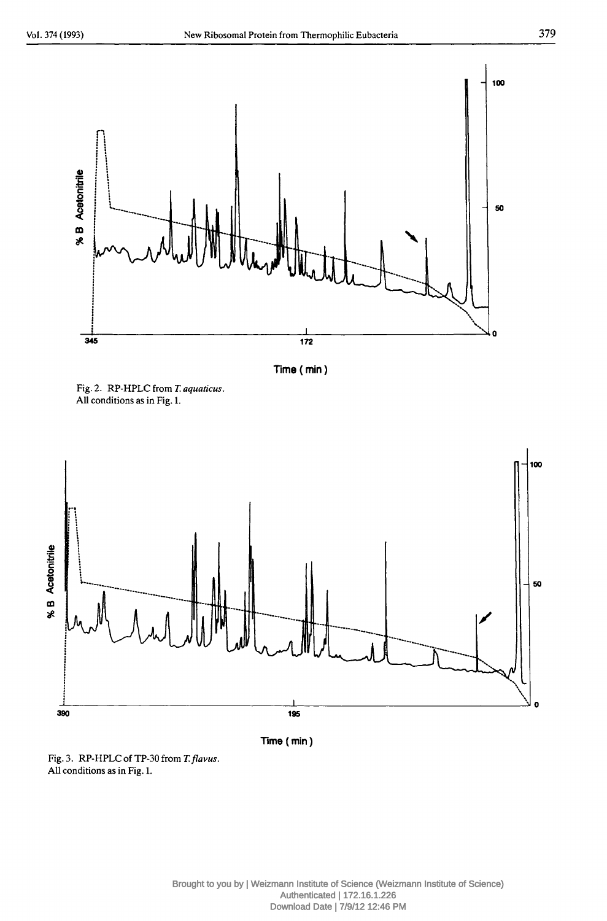

Time (min)







Fig. 3. RP-HPLC of TP-30 from *T.flavus.* All conditions as in Fig. 1.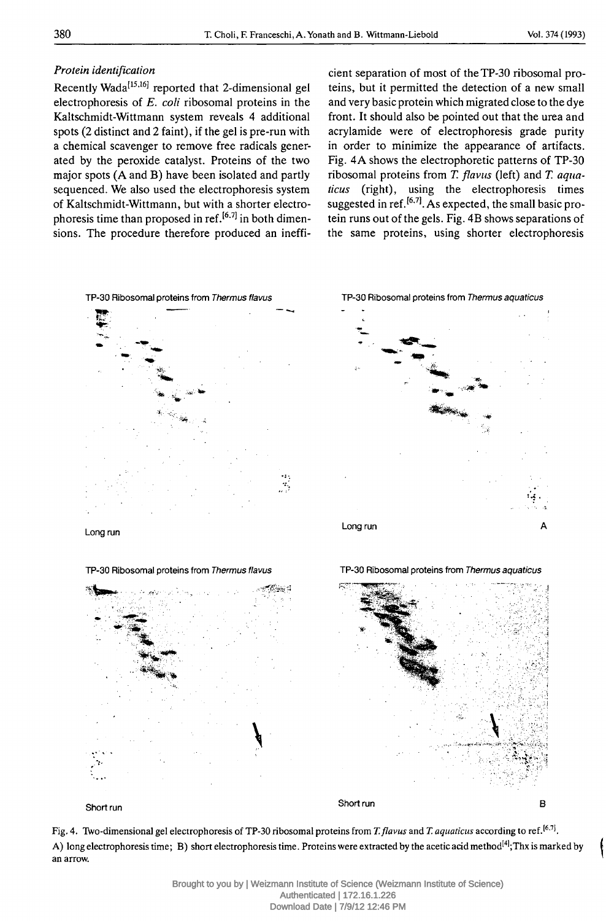## *Protein identification*

Recently Wada<sup>[15,16]</sup> reported that 2-dimensional gel electrophoresis of *E. coli* ribosomal proteins in the Kaltschmidt-Wittmann system reveals 4 additional spots (2 distinct and 2 faint), if the gel is pre-run with a chemical scavenger to remove free radicals generated by the peroxide catalyst. Proteins of the two major spots (A and B) have been isolated and partly sequenced. We also used the electrophoresis system of Kaltschmidt-Wittmann, but with a shorter electrophoresis time than proposed in ref.<sup>[6,7]</sup> in both dimensions. The procedure therefore produced an ineffi-

cient separation of most of theTP-30 ribosomal proteins, but it permitted the detection of a new small and very basic protein which migrated close to the dye front. It should also be pointed out that the urea and acrylamide were of electrophoresis grade purity in order to minimize the appearance of artifacts. Fig. 4A shows the electrophoretic patterns of TP-30 ribosomal proteins from *T. flavus* (left) and *T. aquaticus* (right), using the electrophoresis times suggested in ref.<sup>[6,7]</sup>. As expected, the small basic protein runs out of the gels. Fig. 4B shows separations of the same proteins, using shorter electrophoresis



Long run

TP-30 Ribosomal proteins from *Thermus flavus*



Short run

Short run

B

Fig. 4. Two-dimensional gel electrophoresis of TP-30 ribosomal proteins from *T. flavus* and *T. aquaticus* according to ref J6i7J. A) long electrophoresis time; B) short electrophoresis time. Proteins were extracted by the acetic acid method<sup>[4]</sup>;Thx is marked by an arrow.

> Brought to you by | Weizmann Institute of Science (Weizmann Institute of Science) Authenticated | 172.16.1.226 Download Date | 7/9/12 12:46 PM





TP-30 Ribosomal proteins from *Thermus aquaticus*

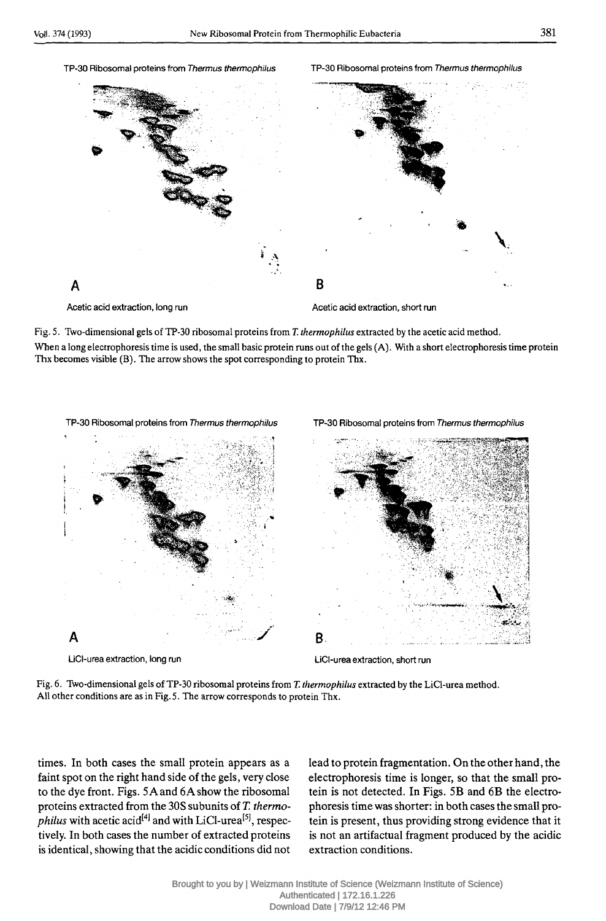#### TP-30 Ribosomal proteins from *Thermus thermophilus* TP-30 Ribosomal proteins from *Thermus thermophilus*





Acetic acid extraction, long run

Acetic acid extraction, short run

Fig. 5. Two-dimensional gels of TP-30 ribosomal proteins from *T. thermophilus* extracted by the acetic acid method. When a long electrophoresis time is used, the small basic protein runs out of the gels (A). With a short electrophoresis time protein

Thx becomes visible (B). The arrow shows the spot corresponding to protein Thx.



LiCI-urea extraction, long run

LiCI-urea extraction, short run

Fig. 6. Two-dimensional gels of TP-30 ribosomal proteins from *T. thermophilus* extracted by the LiCI-urea method. All other conditions are as in Fig. 5. The arrow corresponds to protein Thx.

times. In both cases the small protein appears as a faint spot on the right hand side of the gels, very close to the dye front. Figs. SAand 6Ashow the ribosomal proteins extracted from the 30S subunits of *T. thermo-* $\hat{p}$ *hilus* with acetic acid<sup>[4]</sup> and with LiCl-urea<sup>[5]</sup>, respectively. In both cases the number of extracted proteins is identical, showing that the acidic conditions did not

lead to protein fragmentation. On the other hand, the electrophoresis time is longer, so that the small protein is not detected. In Figs. 5B and 6B the electrophoresis time was shorter: in both cases the small protein is present, thus providing strong evidence that it is not an artifactual fragment produced by the acidic extraction conditions.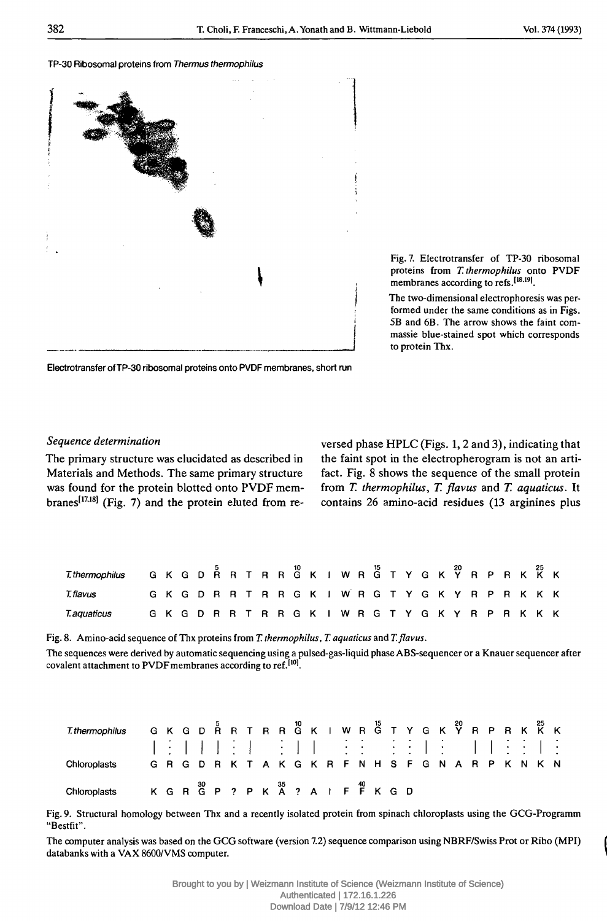#### TP-30 Ribosomal proteins from *Thermus thermophilus*



Fig. 7. Electrotransfer of TP-30 ribosomal proteins from *T. thermophilus* onto PVDF membranes according to refs.<sup>[18,19]</sup>.

The two-dimensional electrophoresis was performed under the same conditions as in Figs. 5B and 6B. The arrow shows the faint commassie blue-stained spot which corresponds to protein Thx.

Electrotransfer of TP-30 ribosomal proteins onto PVDF membranes, short run

#### *Sequence determination*

The primary structure was elucidated as described in Materials and Methods. The same primary structure

was found for the protein blotted onto PVDF mem- from *T. thermophilus, T. flavus* and *T. aquaticus.* It branes<sup>[17,18]</sup> (Fig. 7) and the protein eluted from re- contains 26 amino-acid residues (13 arginines plus versed phase HPLC (Figs. 1, 2 and 3), indicating that the faint spot in the electropherogram is not an artifact. Fig. 8 shows the sequence of the small protein

| Thermophilus GKGD RRT RRGK I WRGT Y GKY RPRKKK |  |  |  |  |  |  |                                                     |  |  |  |  |  |  |  |
|------------------------------------------------|--|--|--|--|--|--|-----------------------------------------------------|--|--|--|--|--|--|--|
| T. flavus                                      |  |  |  |  |  |  | G K G D R R T R R G K I W R G T Y G K Y R P R K K K |  |  |  |  |  |  |  |
| T.aquaticus GKGDRRTRRGKIWRGTYGKYRPRKKK         |  |  |  |  |  |  |                                                     |  |  |  |  |  |  |  |

Fig. 8. Amino-acid sequence of Thx proteins from *T. thermophilus, T. aquaticus* and *T.flavus.* The sequences were derived by automatic sequencing using a pulsed-gas-liquid phase ABS-sequencer or a Knauer sequencer after covalent attachment to PVDF membranes according to ref.<sup>[10]</sup>.

| Thermophilus GKGDÅRTRRĜKIWRĜTYGKŶRPRKKK                          |  |  |  |  |  |  |                                    |  |  |  |  |  |  |  |
|------------------------------------------------------------------|--|--|--|--|--|--|------------------------------------|--|--|--|--|--|--|--|
|                                                                  |  |  |  |  |  |  | NE FERRER FERRER EEN EEN FIJE EN E |  |  |  |  |  |  |  |
| Chloroplasts G R G D R K T A K G K R F N H S F G N A R P K N K N |  |  |  |  |  |  |                                    |  |  |  |  |  |  |  |
| Chloroplasts K G R G P ? P K A ? A I F F K G D                   |  |  |  |  |  |  |                                    |  |  |  |  |  |  |  |

Fig. 9. Structural homology between Thx and a recently isolated protein from spinach Chloroplasts using the GCG-Programm "Bestfit".

The computer analysis was based on the GCG software (version 7.2) sequence comparison using NBRF/Swiss Prot or Ribo (MPI) databanks with a VAX 8600/VMS computer.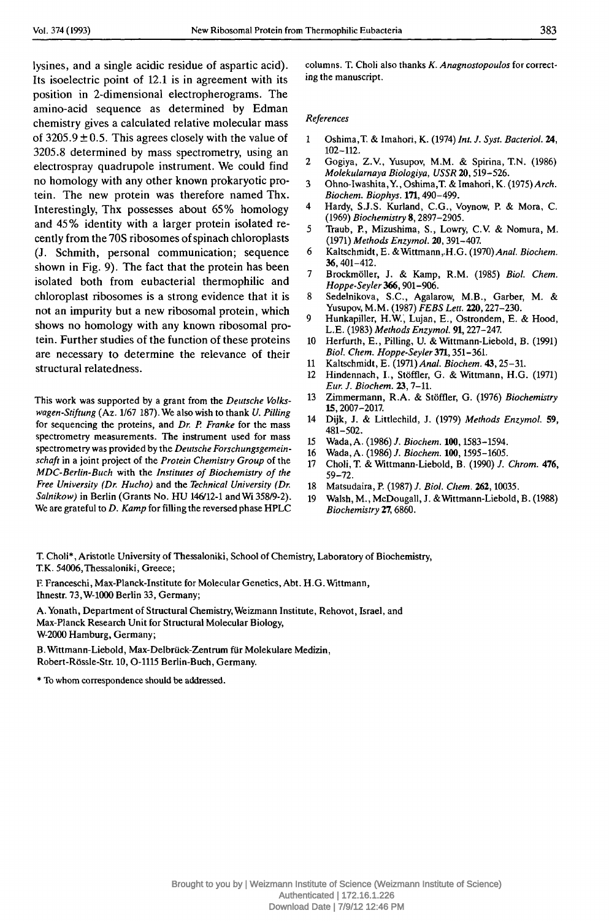lysines, and a single acidic residue of aspartic acid). Its isoelectric point of 12.1 is in agreement with its position in 2-dimensional electropherograms. The amino-acid sequence as determined by Edman chemistry gives a calculated relative molecular mass of  $3205.9 \pm 0.5$ . This agrees closely with the value of 3205.8 determined by mass spectrometry, using an electrospray quadrupole instrument. We could find no homology with any other known prokaryotic protein. The new protein was therefore named Thx. Interestingly, Thx possesses about 65% homology and 45% identity with a larger protein isolated recently from the 70S ribosomes of spinach chloroplasts (J. Schmith, personal communication; sequence shown in Fig. 9). The fact that the protein has been isolated both from eubacterial thermophilic and chloroplast ribosomes is a strong evidence that it is not an impurity but a new ribosomal protein, which shows no homology with any known ribosomal protein. Further studies of the function of these proteins are necessary to determine the relevance of their structural relatedness.

This work was supported by a grant from the *Deutsche Volkswagen-Stiftung* (Az. 1/67 187). We also wish to thank *U. Pilling* for sequencing the proteins, and *Dr. P. Franke* for the mass spectrometry measurements. The instrument used for mass spectrometry was provided by the *Deutsche Forschungsgemeinschaft* in a joint project of the *Protein Chemistry Group* of the *MDC-Berlin-Buch* with the *Institutes of Biochemistry of the Free University (Dr. Hucho)* and the *Technical University (Dr. Salnikow)* in Berlin (Grants No. HU 146/12-1 and Wi 358/9-2). We are grateful to *D. Kamp* for filling the reversed phase HPLC columns. T. Choli also thanks *K. Anagnostopoulos* for correcting the manuscript.

#### *References*

- 1 Oshima,T. & Imahori, K. (1974) *Int. J. Syst. Bacteriol.* 24, 102-112.
- 2 Gogiya, Z.V., Yusupov, M.M. & Spirina, T.N. (1986) *Molekularnaya Biologiya, USSR* 20,519-526.
- 3 Ohno-Iwashita,Y., Oshima,T. & Imahori, K. *(1915) Arch. Biochem. Biophys.* 171,490-499.
- 4 Hardy, S.J.S. Kurland, C.G., Voynow, P. & Mora, C. (1969) *Biochemistry* 8,2897-2905.
- 5 Traub, P., Mizushima, S., Lowry, C.V. & Nomura, M. (1971) *Methods EnzymoL* 20,391-407.
- 6 Kaltschmidt, E. &Wittmann,.H.G. (1970) *Anal. Biochem.* 36,401-412.
- 7 Brockmöller, J. & Kamp, R.M. (1985) *Biol. Chem. Hoppe-Seyler366,*901-906.
- 8 Sedelnikova, S.C., Agalarow, M.B., Garber, M. & Yusupov, M.M. (1987) *FEBS Lett.* 220,227-230.
- 9 Hunkapiller, H.W., Lujan, E., Ostrondem, E. & Hood, L.E. (1983) *Methods EnzymoL* 91,227-247.
- 10 Herfurth, E., Pilling, U. & Wittmann-Liebold, B. (1991) *Biol. Chem. Hoppe-Seyler 371,351-361.*
- 11 Kaltschmidt, E. (1971) *Anal. Biochem.* 43,25-31.
- 12 Hindennach, L, Stöffler, G. & Wittmann, H.G. (1971) *Eur. J. Biochem.* 23,7-11.
- 13 Zimmermann, R.A. & Stöffler, G. (1976) *Biochemistry* 15,2007-2017.
- 14 Dijk, J. & Littlechild, J. (1979) *Methods EnzymoL* 59, 481-502.
- 15 Wada, A. (1986) *J. Biochem.* 100,1583-1594.
- 16 Wada, A. (1986) /. *Biochem.* 100,1595-1605.
- 17 Choli, T. & Wittmann-Liebold, B. (1990) /. *Chrom.* 476, 59-72.
- 18 Matsudaira, P. (1987) /. *Biol. Chem.* 262,10035.
- 19 Walsh, M., McDougall, J. & Wittmann-Liebold, B. (1988) *Biochemistry* 27,6860.

T. Choli\*, Aristotle University of Thessaloniki, School of Chemistry, Laboratory of Biochemistry, T.K. 54006,Thessaloniki, Greece;

F. Franceschi, Max-Planck-Institute for Molecular Genetics, Abt. H.G. Wittmann, Ihnestr. 73,W-1000 Berlin 33, Germany;

A.Yonath, Department of Structural Chemistry, Weizmann Institute, Rehovot, Israel, and Max-Planck Research Unit for Structural Molecular Biology, W-2000 Hamburg, Germany;

B. Wittmann-Liebold, Max-Delbrück-Zentrum für Molekulare Medizin, Robert-Rössle-Str. 10, O-1115 Berlin-Buch, Germany.

\* To whom correspondence should be addressed.